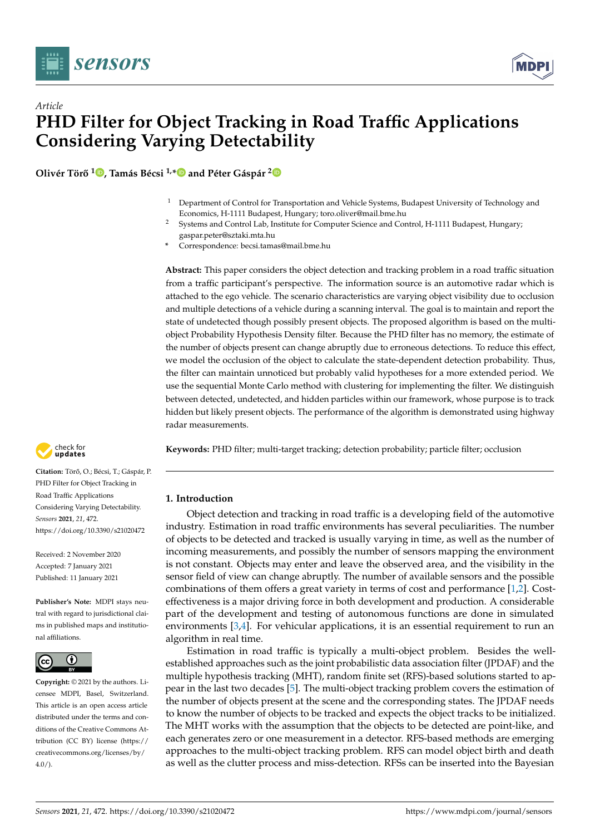



**Olivér Tör ˝o <sup>1</sup> [,](https://orcid.org/0000-0002-7288-5229) Tamás Bécsi 1,[\\*](https://orcid.org/0000-0002-1487-9672) and Péter Gáspár [2](https://orcid.org/0000-0003-3388-1724)**

- $1$  Department of Control for Transportation and Vehicle Systems, Budapest University of Technology and Economics, H-1111 Budapest, Hungary; toro.oliver@mail.bme.hu
- <sup>2</sup> Systems and Control Lab, Institute for Computer Science and Control, H-1111 Budapest, Hungary; gaspar.peter@sztaki.mta.hu
- **\*** Correspondence: becsi.tamas@mail.bme.hu

**Abstract:** This paper considers the object detection and tracking problem in a road traffic situation from a traffic participant's perspective. The information source is an automotive radar which is attached to the ego vehicle. The scenario characteristics are varying object visibility due to occlusion and multiple detections of a vehicle during a scanning interval. The goal is to maintain and report the state of undetected though possibly present objects. The proposed algorithm is based on the multiobject Probability Hypothesis Density filter. Because the PHD filter has no memory, the estimate of the number of objects present can change abruptly due to erroneous detections. To reduce this effect, we model the occlusion of the object to calculate the state-dependent detection probability. Thus, the filter can maintain unnoticed but probably valid hypotheses for a more extended period. We use the sequential Monte Carlo method with clustering for implementing the filter. We distinguish between detected, undetected, and hidden particles within our framework, whose purpose is to track hidden but likely present objects. The performance of the algorithm is demonstrated using highway radar measurements.

**Keywords:** PHD filter; multi-target tracking; detection probability; particle filter; occlusion

# **1. Introduction**

Object detection and tracking in road traffic is a developing field of the automotive industry. Estimation in road traffic environments has several peculiarities. The number of objects to be detected and tracked is usually varying in time, as well as the number of incoming measurements, and possibly the number of sensors mapping the environment is not constant. Objects may enter and leave the observed area, and the visibility in the sensor field of view can change abruptly. The number of available sensors and the possible combinations of them offers a great variety in terms of cost and performance [\[1,](#page-20-0)[2\]](#page-20-1). Costeffectiveness is a major driving force in both development and production. A considerable part of the development and testing of autonomous functions are done in simulated environments [\[3](#page-20-2)[,4\]](#page-20-3). For vehicular applications, it is an essential requirement to run an algorithm in real time.

Estimation in road traffic is typically a multi-object problem. Besides the wellestablished approaches such as the joint probabilistic data association filter (JPDAF) and the multiple hypothesis tracking (MHT), random finite set (RFS)-based solutions started to appear in the last two decades [\[5\]](#page-20-4). The multi-object tracking problem covers the estimation of the number of objects present at the scene and the corresponding states. The JPDAF needs to know the number of objects to be tracked and expects the object tracks to be initialized. The MHT works with the assumption that the objects to be detected are point-like, and each generates zero or one measurement in a detector. RFS-based methods are emerging approaches to the multi-object tracking problem. RFS can model object birth and death as well as the clutter process and miss-detection. RFSs can be inserted into the Bayesian



Citation: Törő, O.; Bécsi, T.; Gáspár, P. PHD Filter for Object Tracking in Road Traffic Applications Considering Varying Detectability. *Sensors* **2021**, *21*, 472. <https://doi.org/10.3390/s21020472>

Received: 2 November 2020 Accepted: 7 January 2021 Published: 11 January 2021

**Publisher's Note:** MDPI stays neutral with regard to jurisdictional claims in published maps and institutional affiliations.



**Copyright:** © 2021 by the authors. Licensee MDPI, Basel, Switzerland. This article is an open access article distributed under the terms and conditions of the Creative Commons Attribution (CC BY) license [\(https://](https://creativecommons.org/licenses/by/4.0/) [creativecommons.org/licenses/by/](https://creativecommons.org/licenses/by/4.0/)  $4.0/$ ).

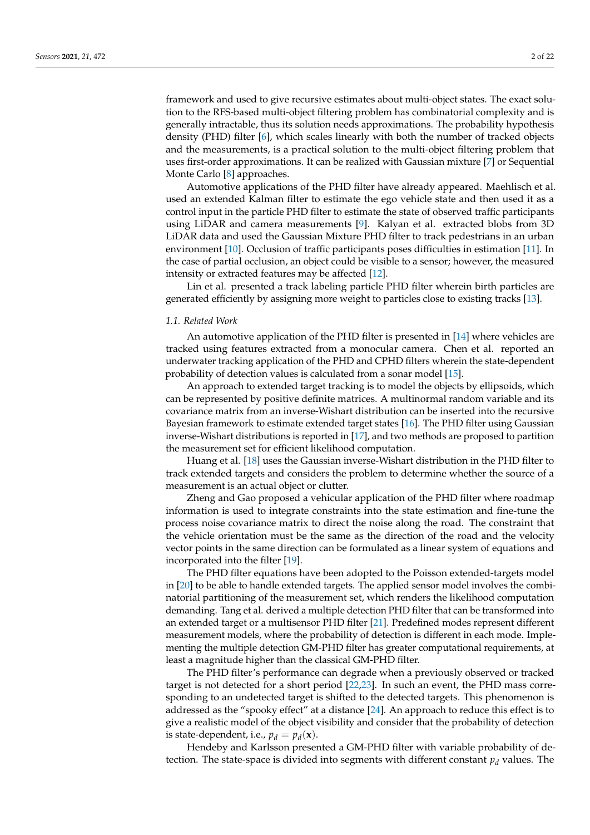framework and used to give recursive estimates about multi-object states. The exact solution to the RFS-based multi-object filtering problem has combinatorial complexity and is generally intractable, thus its solution needs approximations. The probability hypothesis density (PHD) filter [\[6\]](#page-20-5), which scales linearly with both the number of tracked objects and the measurements, is a practical solution to the multi-object filtering problem that uses first-order approximations. It can be realized with Gaussian mixture [\[7\]](#page-20-6) or Sequential Monte Carlo [\[8\]](#page-20-7) approaches.

Automotive applications of the PHD filter have already appeared. Maehlisch et al. used an extended Kalman filter to estimate the ego vehicle state and then used it as a control input in the particle PHD filter to estimate the state of observed traffic participants using LiDAR and camera measurements [\[9\]](#page-20-8). Kalyan et al. extracted blobs from 3D LiDAR data and used the Gaussian Mixture PHD filter to track pedestrians in an urban environment [\[10\]](#page-21-0). Occlusion of traffic participants poses difficulties in estimation [\[11\]](#page-21-1). In the case of partial occlusion, an object could be visible to a sensor; however, the measured intensity or extracted features may be affected [\[12\]](#page-21-2).

Lin et al. presented a track labeling particle PHD filter wherein birth particles are generated efficiently by assigning more weight to particles close to existing tracks [\[13\]](#page-21-3).

# *1.1. Related Work*

An automotive application of the PHD filter is presented in [\[14\]](#page-21-4) where vehicles are tracked using features extracted from a monocular camera. Chen et al. reported an underwater tracking application of the PHD and CPHD filters wherein the state-dependent probability of detection values is calculated from a sonar model [\[15\]](#page-21-5).

An approach to extended target tracking is to model the objects by ellipsoids, which can be represented by positive definite matrices. A multinormal random variable and its covariance matrix from an inverse-Wishart distribution can be inserted into the recursive Bayesian framework to estimate extended target states [\[16\]](#page-21-6). The PHD filter using Gaussian inverse-Wishart distributions is reported in [\[17\]](#page-21-7), and two methods are proposed to partition the measurement set for efficient likelihood computation.

Huang et al. [\[18\]](#page-21-8) uses the Gaussian inverse-Wishart distribution in the PHD filter to track extended targets and considers the problem to determine whether the source of a measurement is an actual object or clutter.

Zheng and Gao proposed a vehicular application of the PHD filter where roadmap information is used to integrate constraints into the state estimation and fine-tune the process noise covariance matrix to direct the noise along the road. The constraint that the vehicle orientation must be the same as the direction of the road and the velocity vector points in the same direction can be formulated as a linear system of equations and incorporated into the filter [\[19\]](#page-21-9).

The PHD filter equations have been adopted to the Poisson extended-targets model in [\[20\]](#page-21-10) to be able to handle extended targets. The applied sensor model involves the combinatorial partitioning of the measurement set, which renders the likelihood computation demanding. Tang et al. derived a multiple detection PHD filter that can be transformed into an extended target or a multisensor PHD filter [\[21\]](#page-21-11). Predefined modes represent different measurement models, where the probability of detection is different in each mode. Implementing the multiple detection GM-PHD filter has greater computational requirements, at least a magnitude higher than the classical GM-PHD filter.

The PHD filter's performance can degrade when a previously observed or tracked target is not detected for a short period [\[22](#page-21-12)[,23\]](#page-21-13). In such an event, the PHD mass corresponding to an undetected target is shifted to the detected targets. This phenomenon is addressed as the "spooky effect" at a distance [\[24\]](#page-21-14). An approach to reduce this effect is to give a realistic model of the object visibility and consider that the probability of detection is state-dependent, i.e.,  $p_d = p_d(\mathbf{x})$ .

Hendeby and Karlsson presented a GM-PHD filter with variable probability of detection. The state-space is divided into segments with different constant  $p_d$  values. The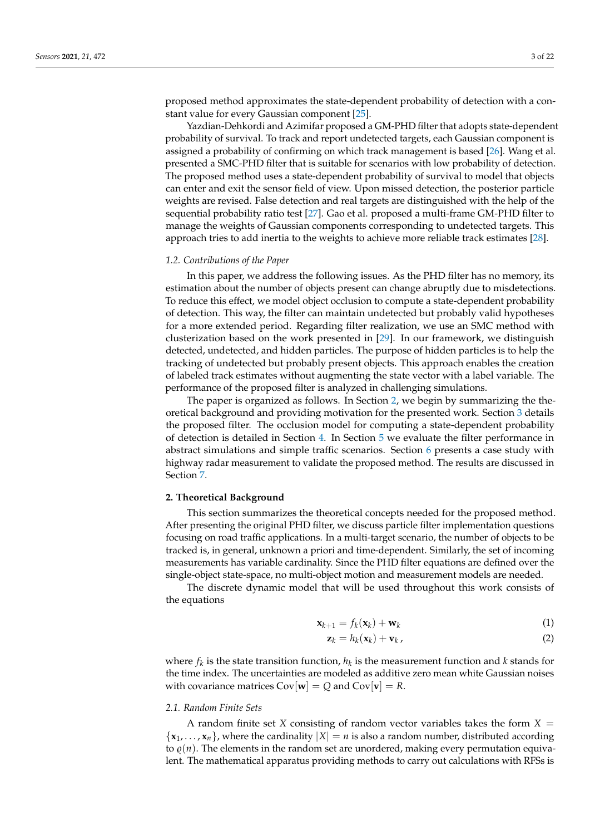proposed method approximates the state-dependent probability of detection with a constant value for every Gaussian component [\[25\]](#page-21-15).

Yazdian-Dehkordi and Azimifar proposed a GM-PHD filter that adopts state-dependent probability of survival. To track and report undetected targets, each Gaussian component is assigned a probability of confirming on which track management is based [\[26\]](#page-21-16). Wang et al. presented a SMC-PHD filter that is suitable for scenarios with low probability of detection. The proposed method uses a state-dependent probability of survival to model that objects can enter and exit the sensor field of view. Upon missed detection, the posterior particle weights are revised. False detection and real targets are distinguished with the help of the sequential probability ratio test [\[27\]](#page-21-17). Gao et al. proposed a multi-frame GM-PHD filter to manage the weights of Gaussian components corresponding to undetected targets. This approach tries to add inertia to the weights to achieve more reliable track estimates [\[28\]](#page-21-18).

#### *1.2. Contributions of the Paper*

In this paper, we address the following issues. As the PHD filter has no memory, its estimation about the number of objects present can change abruptly due to misdetections. To reduce this effect, we model object occlusion to compute a state-dependent probability of detection. This way, the filter can maintain undetected but probably valid hypotheses for a more extended period. Regarding filter realization, we use an SMC method with clusterization based on the work presented in [\[29\]](#page-21-19). In our framework, we distinguish detected, undetected, and hidden particles. The purpose of hidden particles is to help the tracking of undetected but probably present objects. This approach enables the creation of labeled track estimates without augmenting the state vector with a label variable. The performance of the proposed filter is analyzed in challenging simulations.

The paper is organized as follows. In Section [2,](#page-2-0) we begin by summarizing the theoretical background and providing motivation for the presented work. Section [3](#page-5-0) details the proposed filter. The occlusion model for computing a state-dependent probability of detection is detailed in Section [4.](#page-10-0) In Section [5](#page-11-0) we evaluate the filter performance in abstract simulations and simple traffic scenarios. Section [6](#page-18-0) presents a case study with highway radar measurement to validate the proposed method. The results are discussed in Section [7.](#page-19-0)

#### <span id="page-2-0"></span>**2. Theoretical Background**

This section summarizes the theoretical concepts needed for the proposed method. After presenting the original PHD filter, we discuss particle filter implementation questions focusing on road traffic applications. In a multi-target scenario, the number of objects to be tracked is, in general, unknown a priori and time-dependent. Similarly, the set of incoming measurements has variable cardinality. Since the PHD filter equations are defined over the single-object state-space, no multi-object motion and measurement models are needed.

The discrete dynamic model that will be used throughout this work consists of the equations

$$
\mathbf{x}_{k+1} = f_k(\mathbf{x}_k) + \mathbf{w}_k \tag{1}
$$

$$
\mathbf{z}_k = h_k(\mathbf{x}_k) + \mathbf{v}_k, \tag{2}
$$

where  $f_k$  is the state transition function,  $h_k$  is the measurement function and  $k$  stands for the time index. The uncertainties are modeled as additive zero mean white Gaussian noises with covariance matrices  $Cov[\mathbf{w}] = Q$  and  $Cov[\mathbf{v}] = R$ .

# *2.1. Random Finite Sets*

A random finite set *X* consisting of random vector variables takes the form  $X =$  $\{x_1, \ldots, x_n\}$ , where the cardinality  $|X| = n$  is also a random number, distributed according to  $\rho(n)$ . The elements in the random set are unordered, making every permutation equivalent. The mathematical apparatus providing methods to carry out calculations with RFSs is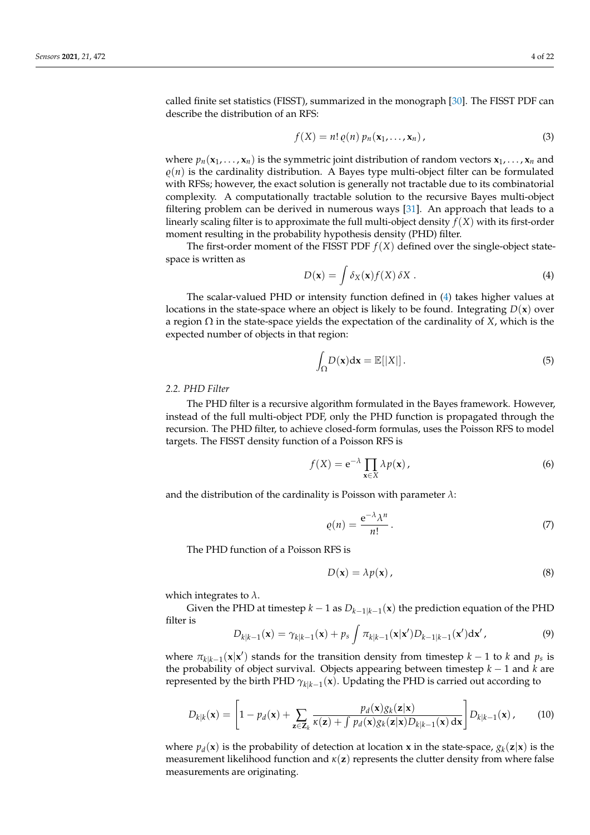called finite set statistics (FISST), summarized in the monograph [\[30\]](#page-21-20). The FISST PDF can describe the distribution of an RFS:

$$
f(X) = n! \varrho(n) \, p_n(\mathbf{x}_1, \dots, \mathbf{x}_n) \,, \tag{3}
$$

where  $p_n(\mathbf{x}_1, \dots, \mathbf{x}_n)$  is the symmetric joint distribution of random vectors  $\mathbf{x}_1, \dots, \mathbf{x}_n$  and  $\rho(n)$  is the cardinality distribution. A Bayes type multi-object filter can be formulated with RFSs; however, the exact solution is generally not tractable due to its combinatorial complexity. A computationally tractable solution to the recursive Bayes multi-object filtering problem can be derived in numerous ways [\[31\]](#page-21-21). An approach that leads to a linearly scaling filter is to approximate the full multi-object density *f*(*X*) with its first-order moment resulting in the probability hypothesis density (PHD) filter.

The first-order moment of the FISST PDF  $f(X)$  defined over the single-object statespace is written as

<span id="page-3-0"></span>
$$
D(\mathbf{x}) = \int \delta_X(\mathbf{x}) f(X) \, \delta X \,. \tag{4}
$$

The scalar-valued PHD or intensity function defined in [\(4\)](#page-3-0) takes higher values at locations in the state-space where an object is likely to be found. Integrating  $D(x)$  over a region  $\Omega$  in the state-space yields the expectation of the cardinality of *X*, which is the expected number of objects in that region:

$$
\int_{\Omega} D(\mathbf{x}) d\mathbf{x} = \mathbb{E}[|X|]. \tag{5}
$$

# *2.2. PHD Filter*

The PHD filter is a recursive algorithm formulated in the Bayes framework. However, instead of the full multi-object PDF, only the PHD function is propagated through the recursion. The PHD filter, to achieve closed-form formulas, uses the Poisson RFS to model targets. The FISST density function of a Poisson RFS is

$$
f(X) = e^{-\lambda} \prod_{\mathbf{x} \in X} \lambda p(\mathbf{x}), \qquad (6)
$$

and the distribution of the cardinality is Poisson with parameter *λ*:

$$
\varrho(n) = \frac{e^{-\lambda}\lambda^n}{n!} \,. \tag{7}
$$

The PHD function of a Poisson RFS is

$$
D(\mathbf{x}) = \lambda p(\mathbf{x}), \qquad (8)
$$

which integrates to *λ*.

Given the PHD at timestep  $k-1$  as  $D_{k-1|k-1}({\bf x})$  the prediction equation of the PHD filter is

$$
D_{k|k-1}(\mathbf{x}) = \gamma_{k|k-1}(\mathbf{x}) + p_s \int \pi_{k|k-1}(\mathbf{x}|\mathbf{x}') D_{k-1|k-1}(\mathbf{x}') d\mathbf{x}',\tag{9}
$$

where  $\pi_{k|k-1}(\mathbf{x}|\mathbf{x}')$  stands for the transition density from timestep  $k-1$  to  $k$  and  $p_s$  is the probability of object survival. Objects appearing between timestep *k* − 1 and *k* are represented by the birth PHD  $\gamma_{k|k-1}({\bf x})$ . Updating the PHD is carried out according to

<span id="page-3-1"></span>
$$
D_{k|k}(\mathbf{x}) = \left[1 - p_d(\mathbf{x}) + \sum_{\mathbf{z} \in \mathbf{Z}_k} \frac{p_d(\mathbf{x}) g_k(\mathbf{z}|\mathbf{x})}{\kappa(\mathbf{z}) + \int p_d(\mathbf{x}) g_k(\mathbf{z}|\mathbf{x}) D_{k|k-1}(\mathbf{x}) \, d\mathbf{x}}\right] D_{k|k-1}(\mathbf{x}), \qquad (10)
$$

where  $p_d(\mathbf{x})$  is the probability of detection at location **x** in the state-space,  $g_k(\mathbf{z}|\mathbf{x})$  is the measurement likelihood function and *κ*(**z**) represents the clutter density from where false measurements are originating.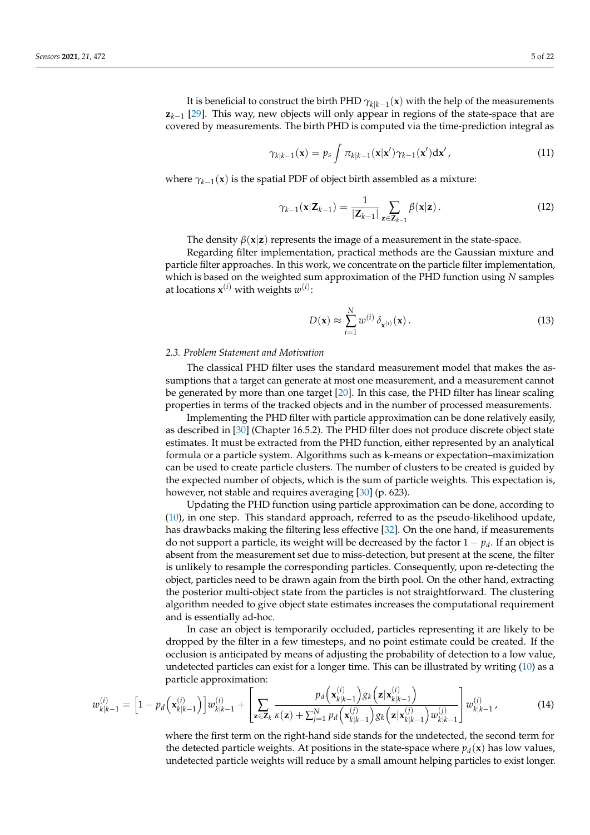It is beneficial to construct the birth PHD  $\gamma_{k|k-1}({\bf x})$  with the help of the measurements **z***k*−<sup>1</sup> [\[29\]](#page-21-19). This way, new objects will only appear in regions of the state-space that are covered by measurements. The birth PHD is computed via the time-prediction integral as

$$
\gamma_{k|k-1}(\mathbf{x}) = p_s \int \pi_{k|k-1}(\mathbf{x}|\mathbf{x}') \gamma_{k-1}(\mathbf{x}') d\mathbf{x}', \qquad (11)
$$

where  $\gamma_{k-1}(\mathbf{x})$  is the spatial PDF of object birth assembled as a mixture:

$$
\gamma_{k-1}(\mathbf{x}|\mathbf{Z}_{k-1}) = \frac{1}{|\mathbf{Z}_{k-1}|} \sum_{\mathbf{z} \in \mathbf{Z}_{k-1}} \beta(\mathbf{x}|\mathbf{z}). \tag{12}
$$

The density  $\beta(x|z)$  represents the image of a measurement in the state-space.

Regarding filter implementation, practical methods are the Gaussian mixture and particle filter approaches. In this work, we concentrate on the particle filter implementation, which is based on the weighted sum approximation of the PHD function using *N* samples at locations  $\mathbf{x}^{(i)}$  with weights  $w^{(i)}$ :

$$
D(\mathbf{x}) \approx \sum_{i=1}^{N} w^{(i)} \, \delta_{\mathbf{x}^{(i)}}(\mathbf{x}) \,. \tag{13}
$$

### *2.3. Problem Statement and Motivation*

The classical PHD filter uses the standard measurement model that makes the assumptions that a target can generate at most one measurement, and a measurement cannot be generated by more than one target [\[20\]](#page-21-10). In this case, the PHD filter has linear scaling properties in terms of the tracked objects and in the number of processed measurements.

Implementing the PHD filter with particle approximation can be done relatively easily, as described in [\[30\]](#page-21-20) (Chapter 16.5.2). The PHD filter does not produce discrete object state estimates. It must be extracted from the PHD function, either represented by an analytical formula or a particle system. Algorithms such as k-means or expectation–maximization can be used to create particle clusters. The number of clusters to be created is guided by the expected number of objects, which is the sum of particle weights. This expectation is, however, not stable and requires averaging [\[30\]](#page-21-20) (p. 623).

Updating the PHD function using particle approximation can be done, according to [\(10\)](#page-3-1), in one step. This standard approach, referred to as the pseudo-likelihood update, has drawbacks making the filtering less effective [\[32\]](#page-21-22). On the one hand, if measurements do not support a particle, its weight will be decreased by the factor 1 − *p<sup>d</sup>* . If an object is absent from the measurement set due to miss-detection, but present at the scene, the filter is unlikely to resample the corresponding particles. Consequently, upon re-detecting the object, particles need to be drawn again from the birth pool. On the other hand, extracting the posterior multi-object state from the particles is not straightforward. The clustering algorithm needed to give object state estimates increases the computational requirement and is essentially ad-hoc.

In case an object is temporarily occluded, particles representing it are likely to be dropped by the filter in a few timesteps, and no point estimate could be created. If the occlusion is anticipated by means of adjusting the probability of detection to a low value, undetected particles can exist for a longer time. This can be illustrated by writing  $(10)$  as a particle approximation: (*i*)

$$
w_{k|k-1}^{(i)} = \left[1 - p_d\left(\mathbf{x}_{k|k-1}^{(i)}\right)\right]w_{k|k-1}^{(i)} + \left[\sum_{\mathbf{z}\in\mathbf{Z}_k}\frac{p_d\left(\mathbf{x}_{k|k-1}^{(i)}\right)g_k\left(\mathbf{z}|\mathbf{x}_{k|k-1}^{(i)}\right)}{\kappa(k-1)g_k\left(\mathbf{x}_{k|k-1}^{(j)}\right)g_k\left(\mathbf{z}|\mathbf{x}_{k|k-1}^{(j)}\right)w_{k|k-1}^{(j)}}\right]w_{k|k-1}^{(i)},\tag{14}
$$

where the first term on the right-hand side stands for the undetected, the second term for the detected particle weights. At positions in the state-space where  $p_d(\mathbf{x})$  has low values, undetected particle weights will reduce by a small amount helping particles to exist longer.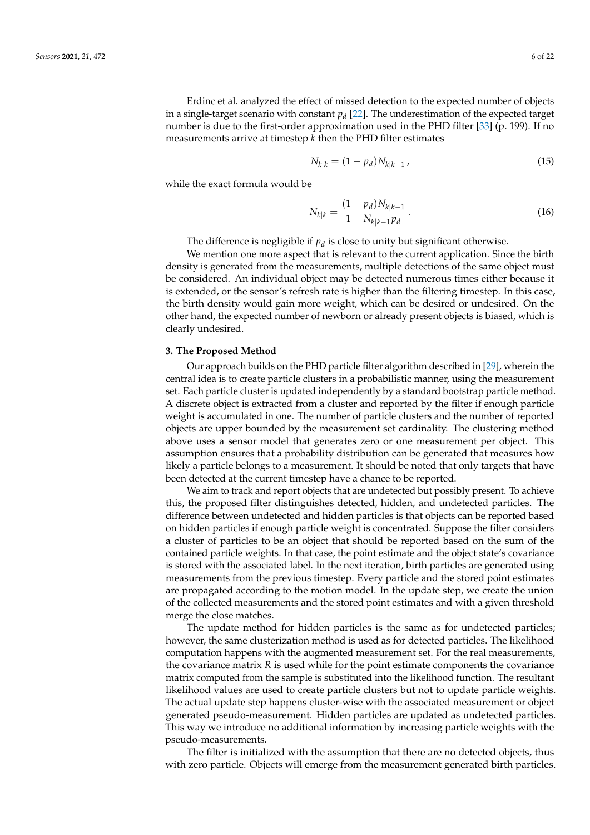Erdinc et al. analyzed the effect of missed detection to the expected number of objects in a single-target scenario with constant *p<sup>d</sup>* [\[22\]](#page-21-12). The underestimation of the expected target number is due to the first-order approximation used in the PHD filter [\[33\]](#page-21-23) (p. 199). If no measurements arrive at timestep *k* then the PHD filter estimates

$$
N_{k|k} = (1 - p_d)N_{k|k-1},
$$
\n(15)

while the exact formula would be

$$
N_{k|k} = \frac{(1 - p_d)N_{k|k-1}}{1 - N_{k|k-1}p_d}.
$$
\n(16)

The difference is negligible if  $p_d$  is close to unity but significant otherwise.

We mention one more aspect that is relevant to the current application. Since the birth density is generated from the measurements, multiple detections of the same object must be considered. An individual object may be detected numerous times either because it is extended, or the sensor's refresh rate is higher than the filtering timestep. In this case, the birth density would gain more weight, which can be desired or undesired. On the other hand, the expected number of newborn or already present objects is biased, which is clearly undesired.

## <span id="page-5-0"></span>**3. The Proposed Method**

Our approach builds on the PHD particle filter algorithm described in [\[29\]](#page-21-19), wherein the central idea is to create particle clusters in a probabilistic manner, using the measurement set. Each particle cluster is updated independently by a standard bootstrap particle method. A discrete object is extracted from a cluster and reported by the filter if enough particle weight is accumulated in one. The number of particle clusters and the number of reported objects are upper bounded by the measurement set cardinality. The clustering method above uses a sensor model that generates zero or one measurement per object. This assumption ensures that a probability distribution can be generated that measures how likely a particle belongs to a measurement. It should be noted that only targets that have been detected at the current timestep have a chance to be reported.

We aim to track and report objects that are undetected but possibly present. To achieve this, the proposed filter distinguishes detected, hidden, and undetected particles. The difference between undetected and hidden particles is that objects can be reported based on hidden particles if enough particle weight is concentrated. Suppose the filter considers a cluster of particles to be an object that should be reported based on the sum of the contained particle weights. In that case, the point estimate and the object state's covariance is stored with the associated label. In the next iteration, birth particles are generated using measurements from the previous timestep. Every particle and the stored point estimates are propagated according to the motion model. In the update step, we create the union of the collected measurements and the stored point estimates and with a given threshold merge the close matches.

The update method for hidden particles is the same as for undetected particles; however, the same clusterization method is used as for detected particles. The likelihood computation happens with the augmented measurement set. For the real measurements, the covariance matrix *R* is used while for the point estimate components the covariance matrix computed from the sample is substituted into the likelihood function. The resultant likelihood values are used to create particle clusters but not to update particle weights. The actual update step happens cluster-wise with the associated measurement or object generated pseudo-measurement. Hidden particles are updated as undetected particles. This way we introduce no additional information by increasing particle weights with the pseudo-measurements.

The filter is initialized with the assumption that there are no detected objects, thus with zero particle. Objects will emerge from the measurement generated birth particles.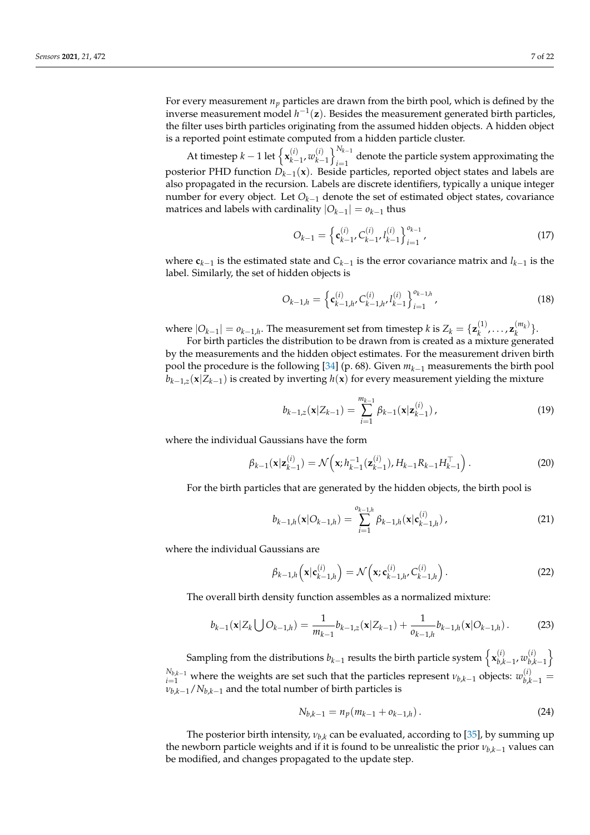For every measurement  $n_p$  particles are drawn from the birth pool, which is defined by the inverse measurement model  $h^{-1}(z)$ . Besides the measurement generated birth particles, the filter uses birth particles originating from the assumed hidden objects. A hidden object is a reported point estimate computed from a hidden particle cluster.

At timestep  $k-1$  let  $\left\{ \mathbf{x}_{k-1}^{(i)} \right\}$ *k*−1 , *w* (*i*)  $\binom{i}{k-1}$  $\binom{N_{k-1}}{k-1}$  $\int_{i=1}^{1}$  denote the particle system approximating the posterior PHD function *Dk*−<sup>1</sup> (**x**). Beside particles, reported object states and labels are also propagated in the recursion. Labels are discrete identifiers, typically a unique integer number for every object. Let *Ok*−<sup>1</sup> denote the set of estimated object states, covariance matrices and labels with cardinality  $|O_{k-1}| = o_{k-1}$  thus

$$
O_{k-1} = \left\{ \mathbf{c}_{k-1}^{(i)}, C_{k-1}^{(i)}, l_{k-1}^{(i)} \right\}_{i=1}^{o_{k-1}},
$$
\n(17)

where **c***k*−<sup>1</sup> is the estimated state and *Ck*−<sup>1</sup> is the error covariance matrix and *lk*−<sup>1</sup> is the label. Similarly, the set of hidden objects is

$$
O_{k-1,h} = \left\{ \mathbf{c}_{k-1,h}^{(i)}, C_{k-1,h}^{(i)}, l_{k-1}^{(i)} \right\}_{i=1}^{o_{k-1,h}},
$$
\n(18)

where  $|O_{k-1}| = o_{k-1,h}$ . The measurement set from timestep *k* is  $Z_k = \{ \mathbf{z}_k^{(1)} \}$  $\mathbf{z}_k^{(1)}, \ldots, \mathbf{z}_k^{(m_k)}$  $\binom{m_k}{k}$ .

For birth particles the distribution to be drawn from is created as a mixture generated by the measurements and the hidden object estimates. For the measurement driven birth pool the procedure is the following [\[34\]](#page-21-24) (p. 68). Given *mk*−<sup>1</sup> measurements the birth pool *bk*−1,*<sup>z</sup>* (**x**|*Zk*−<sup>1</sup> ) is created by inverting *h*(**x**) for every measurement yielding the mixture

$$
b_{k-1,z}(\mathbf{x}|Z_{k-1}) = \sum_{i=1}^{m_{k-1}} \beta_{k-1}(\mathbf{x}|\mathbf{z}_{k-1}^{(i)})\,,\tag{19}
$$

where the individual Gaussians have the form

$$
\beta_{k-1}(\mathbf{x}|\mathbf{z}_{k-1}^{(i)}) = \mathcal{N}\left(\mathbf{x}; h_{k-1}^{-1}(\mathbf{z}_{k-1}^{(i)}), H_{k-1}R_{k-1}H_{k-1}^{\top}\right).
$$
\n(20)

For the birth particles that are generated by the hidden objects, the birth pool is

$$
b_{k-1,h}(\mathbf{x}|O_{k-1,h}) = \sum_{i=1}^{o_{k-1,h}} \beta_{k-1,h}(\mathbf{x}|c_{k-1,h}^{(i)})\,,\tag{21}
$$

where the individual Gaussians are

$$
\beta_{k-1,h}\left(\mathbf{x}|\mathbf{c}_{k-1,h}^{(i)}\right)=\mathcal{N}\left(\mathbf{x};\mathbf{c}_{k-1,h}^{(i)},C_{k-1,h}^{(i)}\right).
$$
\n(22)

The overall birth density function assembles as a normalized mixture:

$$
b_{k-1}(\mathbf{x}|Z_k \bigcup O_{k-1,h}) = \frac{1}{m_{k-1}} b_{k-1,z}(\mathbf{x}|Z_{k-1}) + \frac{1}{o_{k-1,h}} b_{k-1,h}(\mathbf{x}|O_{k-1,h}). \tag{23}
$$

Sampling from the distributions  $b_{k-1}$  results the birth particle system  $\left\{\mathbf{x}_{b,k}^{(i)}\right\}$  $\sum_{b,k-1}^{(i)}$ , *w*<sub>b, </sub>*k*  $\left\{\begin{array}{c} (i) \\ b,k-1 \end{array}\right\}$  $N_{b,k-1}$  where the weights are set such that the particles represent  $\nu_{b,k-1}$  objects:  $w_{b,k-1}^{(i)} = 1$  $v_{b,k-1}/N_{b,k-1}$  and the total number of birth particles is

$$
N_{b,k-1} = n_p(m_{k-1} + o_{k-1,h}).
$$
\n(24)

The posterior birth intensity,  $v_{hk}$  can be evaluated, according to [\[35\]](#page-21-25), by summing up the newborn particle weights and if it is found to be unrealistic the prior  $v_{b,k-1}$  values can be modified, and changes propagated to the update step.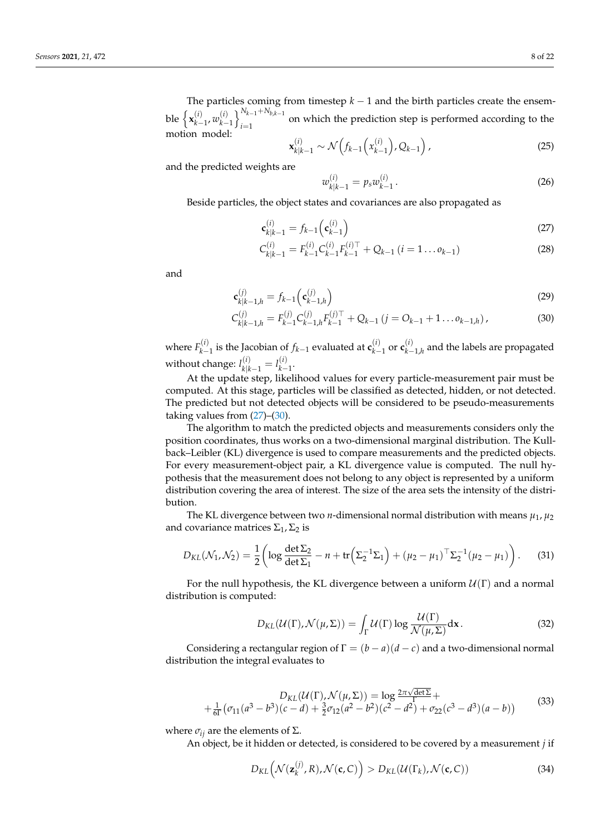The particles coming from timestep  $k - 1$  and the birth particles create the ensemble  $\left\{ \mathbf{x}_{k-}^{(i)} \right\}$ *k*−1 , *w* (*i*)  $\binom{k+1}{k-1}$ <sub>i=1</sub> *i*=1 on which the prediction step is performed according to the motion model:

$$
\mathbf{x}_{k|k-1}^{(i)} \sim \mathcal{N}\left(f_{k-1}\left(x_{k-1}^{(i)}\right), Q_{k-1}\right),\tag{25}
$$

and the predicted weights are

<span id="page-7-1"></span><span id="page-7-0"></span>
$$
w_{k|k-1}^{(i)} = p_s w_{k-1}^{(i)}.
$$
\n(26)

Beside particles, the object states and covariances are also propagated as

$$
\mathbf{c}_{k|k-1}^{(i)} = f_{k-1} \left( \mathbf{c}_{k-1}^{(i)} \right) \tag{27}
$$

$$
C_{k|k-1}^{(i)} = F_{k-1}^{(i)} C_{k-1}^{(i)} F_{k-1}^{(i)\top} + Q_{k-1} (i = 1 \dots o_{k-1})
$$
\n(28)

and

$$
\mathbf{c}_{k|k-1,h}^{(j)} = f_{k-1} \left( \mathbf{c}_{k-1,h}^{(j)} \right)
$$
 (29)

$$
C_{k|k-1,h}^{(j)} = F_{k-1}^{(j)} C_{k-1,h}^{(j)} F_{k-1}^{(j)\top} + Q_{k-1} (j = O_{k-1} + 1 \dots o_{k-1,h}), \qquad (30)
$$

where  $F_{k-}^{(i)}$ *k*−1 is the Jacobian of *fk*−<sup>1</sup> evaluated at **c** (*i*)  $\frac{(i)}{k-1}$  or **c** $\frac{(i)}{k-1}$ *k*−1,*h* and the labels are propagated without change: *l* (*i*)  $\binom{i}{k|k-1} = l_{k-1}^{(i)}$ *k*−1 .

At the update step, likelihood values for every particle-measurement pair must be computed. At this stage, particles will be classified as detected, hidden, or not detected. The predicted but not detected objects will be considered to be pseudo-measurements taking values from [\(27\)](#page-7-0)–[\(30\)](#page-7-1).

The algorithm to match the predicted objects and measurements considers only the position coordinates, thus works on a two-dimensional marginal distribution. The Kullback–Leibler (KL) divergence is used to compare measurements and the predicted objects. For every measurement-object pair, a KL divergence value is computed. The null hypothesis that the measurement does not belong to any object is represented by a uniform distribution covering the area of interest. The size of the area sets the intensity of the distribution.

The KL divergence between two *n*-dimensional normal distribution with means  $\mu_1$ ,  $\mu_2$ and covariance matrices  $\Sigma_1$ ,  $\Sigma_2$  is

$$
D_{KL}(\mathcal{N}_1, \mathcal{N}_2) = \frac{1}{2} \left( \log \frac{\det \Sigma_2}{\det \Sigma_1} - n + \text{tr} \left( \Sigma_2^{-1} \Sigma_1 \right) + (\mu_2 - \mu_1)^{\top} \Sigma_2^{-1} (\mu_2 - \mu_1) \right). \tag{31}
$$

For the null hypothesis, the KL divergence between a uniform  $\mathcal{U}(\Gamma)$  and a normal distribution is computed:

$$
D_{KL}(\mathcal{U}(\Gamma), \mathcal{N}(\mu, \Sigma)) = \int_{\Gamma} \mathcal{U}(\Gamma) \log \frac{\mathcal{U}(\Gamma)}{\mathcal{N}(\mu, \Sigma)} d\mathbf{x}.
$$
 (32)

Considering a rectangular region of  $\Gamma = (b - a)(d - c)$  and a two-dimensional normal distribution the integral evaluates to

$$
D_{KL}(\mathcal{U}(\Gamma), \mathcal{N}(\mu, \Sigma)) = \log \frac{2\pi \sqrt{\det \Sigma}}{\Gamma} + \frac{1}{6\Gamma} (\sigma_{11}(a^3 - b^3)(c - d) + \frac{3}{2}\sigma_{12}(a^2 - b^2)(c^2 - d^2) + \sigma_{22}(c^3 - d^3)(a - b))
$$
(33)

where  $σ<sub>ij</sub>$  are the elements of Σ.

An object, be it hidden or detected, is considered to be covered by a measurement *j* if

<span id="page-7-2"></span>
$$
D_{KL}(\mathcal{N}(\mathbf{z}_k^{(j)}, R), \mathcal{N}(\mathbf{c}, C)) > D_{KL}(\mathcal{U}(\Gamma_k), \mathcal{N}(\mathbf{c}, C))
$$
\n(34)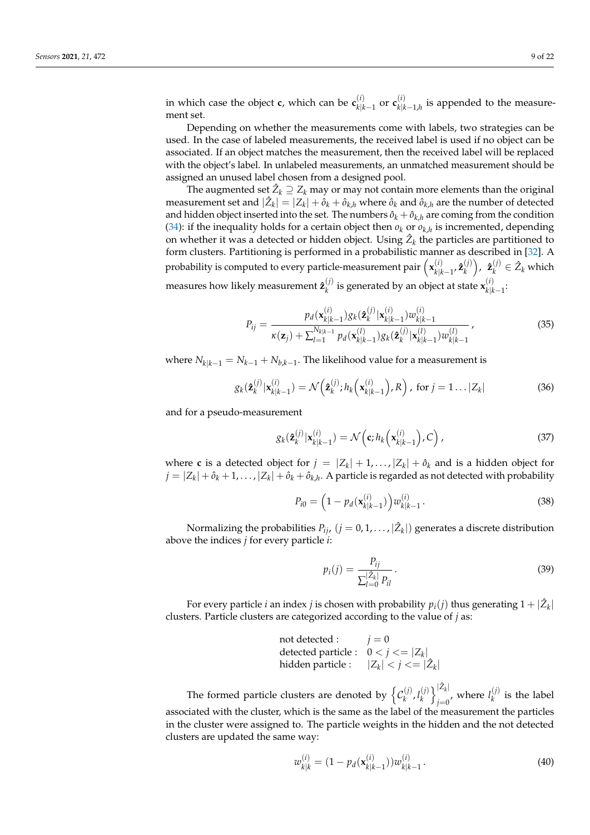in which case the object **c**, which can be  $\mathbf{c}_{k|l}^{(i)}$  $\frac{(i)}{k|k-1}$  or  $\mathbf{c}_{k|k}^{(i)}$  $\binom{V}{k|k-1,h}$  is appended to the measurement set.

Depending on whether the measurements come with labels, two strategies can be used. In the case of labeled measurements, the received label is used if no object can be associated. If an object matches the measurement, then the received label will be replaced with the object's label. In unlabeled measurements, an unmatched measurement should be assigned an unused label chosen from a designed pool.

The augmented set  $\hat Z_k \supseteq Z_k$  may or may not contain more elements than the original measurement set and  $|\hat{Z}_k| = |Z_k| + \hat{o}_k + \hat{o}_{k,h}$  where  $\hat{o}_k$  and  $\hat{o}_{k,h}$  are the number of detected and hidden object inserted into the set. The numbers  $\hat{o}_k + \hat{o}_{k,h}$  are coming from the condition [\(34\)](#page-7-2): if the inequality holds for a certain object then  $o_k$  or  $o_{k,h}$  is incremented, depending on whether it was a detected or hidden object. Using  $\hat{Z}_k$  the particles are partitioned to form clusters. Partitioning is performed in a probabilistic manner as described in [\[32\]](#page-21-22). A probability is computed to every particle-measurement pair  $\left(\mathbf{x}_{k|k}^{(i)}\right)$ *k*|*k*−1 , **ˆz** (*j*) *k* , **ˆz** (*j*)  $\hat{Z}_k$  which measures how likely measurement  $\hat{\mathbf{z}}_k^{(j)}$  $\mathbf{x}_k^{(i)}$  is generated by an object at state  $\mathbf{x}_{k|k}^{(i)}$ *k*|*k*−1 :

$$
P_{ij} = \frac{p_d(\mathbf{x}_{k|k-1}^{(i)})g_k(\mathbf{\hat{z}}_k^{(j)}|\mathbf{x}_{k|k-1}^{(i)})w_{k|k-1}^{(i)}}{\kappa(\mathbf{z}_j) + \sum_{l=1}^{N_{k|k-1}} p_d(\mathbf{x}_{k|k-1}^{(l)})g_k(\mathbf{\hat{z}}_k^{(j)}|\mathbf{x}_{k|k-1}^{(l)})w_{k|k-1}^{(l)}}\,,\tag{35}
$$

where  $N_{k|k-1} = N_{k-1} + N_{b,k-1}$ . The likelihood value for a measurement is

$$
g_k(\hat{\mathbf{z}}_k^{(j)}|\mathbf{x}_{k|k-1}^{(i)}) = \mathcal{N}\left(\hat{\mathbf{z}}_k^{(j)}; h_k\left(\mathbf{x}_{k|k-1}^{(i)}\right), R\right), \text{ for } j = 1...|Z_k|
$$
 (36)

and for a pseudo-measurement

$$
g_k(\hat{\mathbf{z}}_k^{(j)}|\mathbf{x}_{k|k-1}^{(i)}) = \mathcal{N}\left(\mathbf{c}; h_k\left(\mathbf{x}_{k|k-1}^{(i)}\right), C\right),\tag{37}
$$

where **c** is a detected object for  $j = |Z_k| + 1, ..., |Z_k| + \hat{o}_k$  and is a hidden object for  $j = |Z_k| + \hat{o}_k + 1, \ldots, |Z_k| + \hat{o}_k + \hat{o}_{k,h}$ . A particle is regarded as not detected with probability

$$
P_{i0} = \left(1 - p_d(\mathbf{x}_{k|k-1}^{(i)})\right) w_{k|k-1}^{(i)}.
$$
\n(38)

Normalizing the probabilities  $P_{ij}$ ,  $(j = 0, 1, \ldots, |\hat{\mathsf{Z}}_k|)$  generates a discrete distribution above the indices *j* for every particle *i*:

$$
p_i(j) = \frac{P_{ij}}{\sum_{l=0}^{\lfloor 2_k \rfloor} P_{il}}.
$$
\n(39)

For every particle *i* an index *j* is chosen with probability  $p_i(j)$  thus generating  $1 + |\hat{Z}_k|$ clusters. Particle clusters are categorized according to the value of *j* as:

not detected : 
$$
j = 0
$$
  
detected particle :  $0 < j < = |Z_k|$   
hidden particle :  $|Z_k| < j < = |Z_k|$ 

The formed particle clusters are denoted by  $\big\{\mathcal{C}_k^{(j)}\big\}$  $\binom{(j)}{k}$ ,  $l_k^{(j)}$  $\binom{j}{k}$   $\sum_{i=0}^{|\hat{Z}_k|}$  $\sum_{j=0}^{|Z_k|}$ , where  $l_k^{(j)}$  $\binom{1}{k}$  is the label associated with the cluster, which is the same as the label of the measurement the particles in the cluster were assigned to. The particle weights in the hidden and the not detected clusters are updated the same way:

$$
w_{k|k}^{(i)} = (1 - p_d(\mathbf{x}_{k|k-1}^{(i)})) w_{k|k-1}^{(i)}.
$$
\n(40)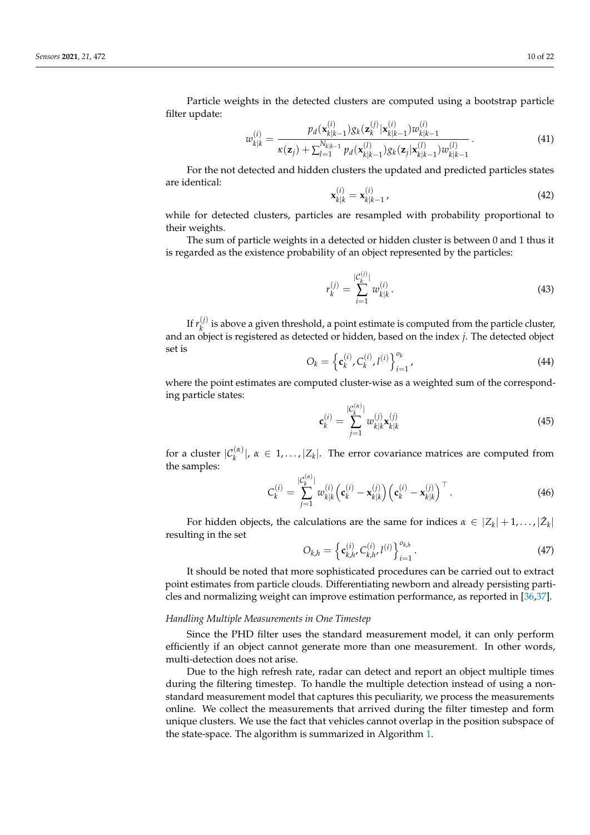Particle weights in the detected clusters are computed using a bootstrap particle filter update:  $\langle i \rangle$  $(i)$ 

$$
w_{k|k}^{(i)} = \frac{p_d(\mathbf{x}_{k|k-1}^{(i)})g_k(\mathbf{z}_{k}^{(j)}|\mathbf{x}_{k|k-1}^{(i)})w_{k|k-1}^{(i)}}{\kappa(\mathbf{z}_j) + \sum_{l=1}^{N_{k|k-1}} p_d(\mathbf{x}_{k|k-1}^{(l)})g_k(\mathbf{z}_j|\mathbf{x}_{k|k-1}^{(l)})w_{k|k-1}^{(l)}}.
$$
(41)

For the not detected and hidden clusters the updated and predicted particles states are identical:

$$
\mathbf{x}_{k|k}^{(i)} = \mathbf{x}_{k|k-1}^{(i)}
$$
\n(42)

while for detected clusters, particles are resampled with probability proportional to their weights.

The sum of particle weights in a detected or hidden cluster is between 0 and 1 thus it is regarded as the existence probability of an object represented by the particles:

$$
r_k^{(j)} = \sum_{i=1}^{|C_k^{(j)}|} w_{k|k}^{(i)}.
$$
\n(43)

If  $r_k^{(j)}$  $\frac{d}{dx}$  is above a given threshold, a point estimate is computed from the particle cluster, and an object is registered as detected or hidden, based on the index *j*. The detected object set is

$$
O_k = \left\{ \mathbf{c}_k^{(i)}, C_k^{(i)}, l^{(i)} \right\}_{i=1}^{o_k},\tag{44}
$$

where the point estimates are computed cluster-wise as a weighted sum of the corresponding particle states: |C(*α*)

$$
\mathbf{c}_{k}^{(i)} = \sum_{j=1}^{|\mathcal{C}_{k}^{(k)}|} w_{k|k}^{(j)} \mathbf{x}_{k|k}^{(j)}
$$
(45)

for a cluster  $|\mathcal{C}_k^{(\alpha)}|$ ,  $\alpha \in 1, ..., |Z_k|$ . The error covariance matrices are computed from the samples:

 $\langle \alpha \rangle$ 

$$
C_k^{(i)} = \sum_{j=1}^{|C_k^{(i)}|} w_{k|k}^{(i)} \Big( \mathbf{c}_k^{(i)} - \mathbf{x}_{k|k}^{(j)} \Big) \Big( \mathbf{c}_k^{(i)} - \mathbf{x}_{k|k}^{(j)} \Big)^\top. \tag{46}
$$

For hidden objects, the calculations are the same for indices  $\alpha \in |Z_k| + 1, \ldots, |\hat{Z}_k|$ resulting in the set

$$
O_{k,h} = \left\{ \mathbf{c}_{k,h}^{(i)}, C_{k,h}^{(i)}, l^{(i)} \right\}_{i=1}^{o_{k,h}}.
$$
\n(47)

It should be noted that more sophisticated procedures can be carried out to extract point estimates from particle clouds. Differentiating newborn and already persisting particles and normalizing weight can improve estimation performance, as reported in [\[36](#page-21-26)[,37\]](#page-21-27).

#### *Handling Multiple Measurements in One Timestep*

Since the PHD filter uses the standard measurement model, it can only perform efficiently if an object cannot generate more than one measurement. In other words, multi-detection does not arise.

Due to the high refresh rate, radar can detect and report an object multiple times during the filtering timestep. To handle the multiple detection instead of using a nonstandard measurement model that captures this peculiarity, we process the measurements online. We collect the measurements that arrived during the filter timestep and form unique clusters. We use the fact that vehicles cannot overlap in the position subspace of the state-space. The algorithm is summarized in Algorithm [1.](#page-10-1)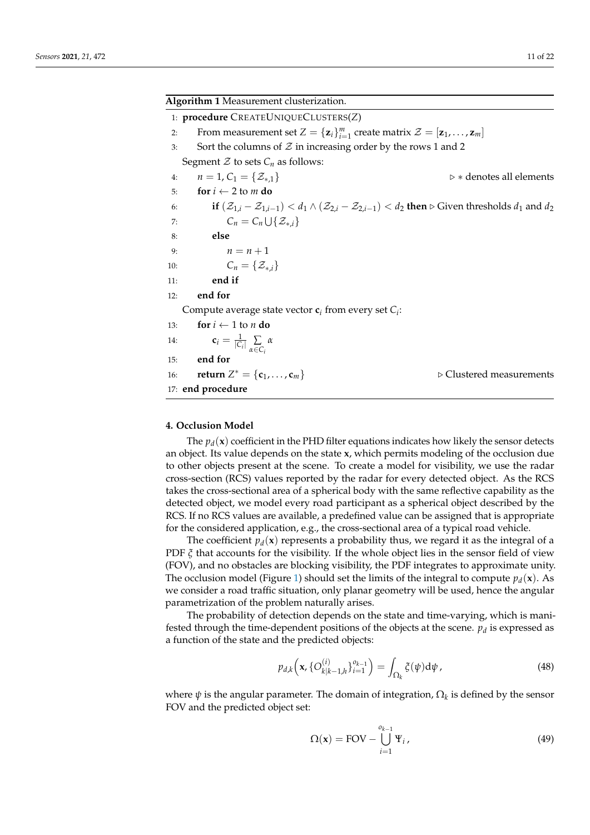<span id="page-10-1"></span>

| Algorithm 1 Measurement clusterization.                                                                                                                              |  |  |
|----------------------------------------------------------------------------------------------------------------------------------------------------------------------|--|--|
| 1: procedure CREATEUNIQUECLUSTERS(Z)                                                                                                                                 |  |  |
| From measurement set $Z = {\mathbf{z}_i}_{i=1}^m$ create matrix $\mathcal{Z} = [\mathbf{z}_1, \dots, \mathbf{z}_m]$<br>2:                                            |  |  |
| Sort the columns of $Z$ in increasing order by the rows 1 and 2<br>3:                                                                                                |  |  |
| Segment $\mathcal Z$ to sets $C_n$ as follows:                                                                                                                       |  |  |
| $n=1, C_1=\{\mathcal{Z}_{*,1}\}\$<br>$\triangleright *$ denotes all elements<br>4:                                                                                   |  |  |
| for $i \leftarrow 2$ to m do<br>5:                                                                                                                                   |  |  |
| if $(\mathcal{Z}_{1,i}-\mathcal{Z}_{1,i-1}) < d_1 \wedge (\mathcal{Z}_{2,i}-\mathcal{Z}_{2,i-1}) < d_2$ then $\triangleright$ Given thresholds $d_1$ and $d_2$<br>6: |  |  |
| $C_n = C_n \cup \{Z_{*i}\}\$<br>7:                                                                                                                                   |  |  |
| else<br>8:                                                                                                                                                           |  |  |
| $n = n + 1$<br>9:                                                                                                                                                    |  |  |
| $C_n = \{ \mathcal{Z}_{*,i} \}$<br>10:                                                                                                                               |  |  |
| end if<br>11:                                                                                                                                                        |  |  |
| end for<br>12:                                                                                                                                                       |  |  |
| Compute average state vector $c_i$ from every set $C_i$ :                                                                                                            |  |  |
| for $i \leftarrow 1$ to <i>n</i> do<br>13:                                                                                                                           |  |  |
| $\mathbf{c}_i = \frac{1}{ C_i } \sum_{\alpha \in C_i} \alpha$<br>14:                                                                                                 |  |  |
| end for<br>15:                                                                                                                                                       |  |  |
| <b>return</b> $Z^* = \{c_1, , c_m\}$<br>$\triangleright$ Clustered measurements<br>16:                                                                               |  |  |
| 17: end procedure                                                                                                                                                    |  |  |

# <span id="page-10-0"></span>**4. Occlusion Model**

The  $p_d(\mathbf{x})$  coefficient in the PHD filter equations indicates how likely the sensor detects an object. Its value depends on the state **x**, which permits modeling of the occlusion due to other objects present at the scene. To create a model for visibility, we use the radar cross-section (RCS) values reported by the radar for every detected object. As the RCS takes the cross-sectional area of a spherical body with the same reflective capability as the detected object, we model every road participant as a spherical object described by the RCS. If no RCS values are available, a predefined value can be assigned that is appropriate for the considered application, e.g., the cross-sectional area of a typical road vehicle.

The coefficient  $p_d(\mathbf{x})$  represents a probability thus, we regard it as the integral of a PDF *ξ* that accounts for the visibility. If the whole object lies in the sensor field of view (FOV), and no obstacles are blocking visibility, the PDF integrates to approximate unity. The occlusion model (Figure [1\)](#page-11-1) should set the limits of the integral to compute  $p_d(\mathbf{x})$ . As we consider a road traffic situation, only planar geometry will be used, hence the angular parametrization of the problem naturally arises.

The probability of detection depends on the state and time-varying, which is manifested through the time-dependent positions of the objects at the scene.  $p_d$  is expressed as a function of the state and the predicted objects:

<span id="page-10-2"></span>
$$
p_{d,k}\Big(\mathbf{x}, \{O_{k|k-1,h}^{(i)}\}_{i=1}^{0_{k-1}}\Big) = \int_{\Omega_k} \xi(\psi) d\psi, \tag{48}
$$

where *ψ* is the angular parameter. The domain of integration, Ω*<sup>k</sup>* is defined by the sensor FOV and the predicted object set:

$$
\Omega(\mathbf{x}) = \text{FOV} - \bigcup_{i=1}^{o_{k-1}} \Psi_i, \tag{49}
$$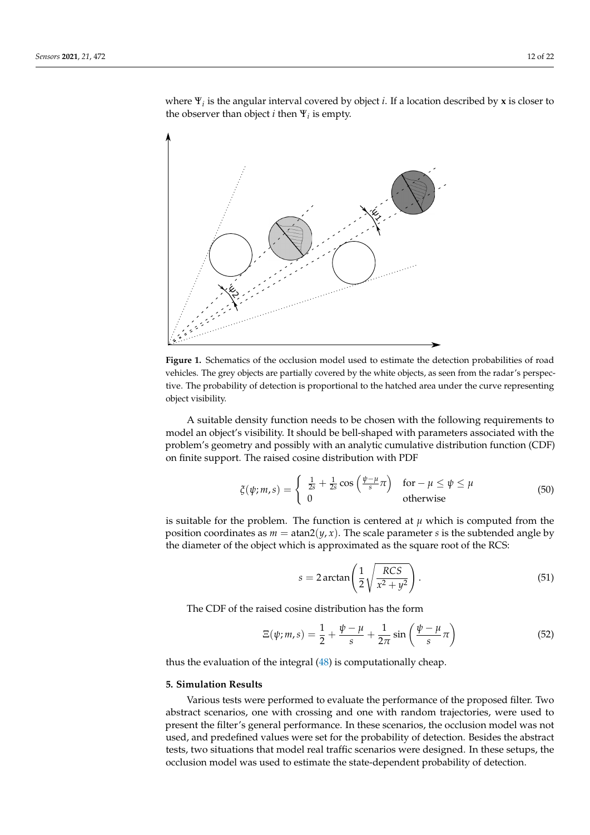where Ψ*<sup>i</sup>* is the angular interval covered by object *i*. If a location described by **x** is closer to the observer than object  $i$  then  $\Psi_i$  is empty.

<span id="page-11-1"></span>

**Figure 1.** Schematics of the occlusion model used to estimate the detection probabilities of road vehicles. The grey objects are partially covered by the white objects, as seen from the radar's perspective. The probability of detection is proportional to the hatched area under the curve representing object visibility.

A suitable density function needs to be chosen with the following requirements to model an object's visibility. It should be bell-shaped with parameters associated with the problem's geometry and possibly with an analytic cumulative distribution function (CDF) on finite support. The raised cosine distribution with PDF

$$
\xi(\psi; m, s) = \begin{cases} \frac{1}{2s} + \frac{1}{2s} \cos\left(\frac{\psi - \mu}{s}\pi\right) & \text{for } -\mu \le \psi \le \mu\\ 0 & \text{otherwise} \end{cases}
$$
(50)

is suitable for the problem. The function is centered at  $\mu$  which is computed from the position coordinates as  $m = \tan(1/\gamma, x)$ . The scale parameter *s* is the subtended angle by the diameter of the object which is approximated as the square root of the RCS:

$$
s = 2 \arctan\left(\frac{1}{2}\sqrt{\frac{RCS}{x^2 + y^2}}\right). \tag{51}
$$

The CDF of the raised cosine distribution has the form

$$
\Xi(\psi; m, s) = \frac{1}{2} + \frac{\psi - \mu}{s} + \frac{1}{2\pi} \sin\left(\frac{\psi - \mu}{s}\pi\right)
$$
(52)

thus the evaluation of the integral [\(48\)](#page-10-2) is computationally cheap.

### <span id="page-11-0"></span>**5. Simulation Results**

Various tests were performed to evaluate the performance of the proposed filter. Two abstract scenarios, one with crossing and one with random trajectories, were used to present the filter's general performance. In these scenarios, the occlusion model was not used, and predefined values were set for the probability of detection. Besides the abstract tests, two situations that model real traffic scenarios were designed. In these setups, the occlusion model was used to estimate the state-dependent probability of detection.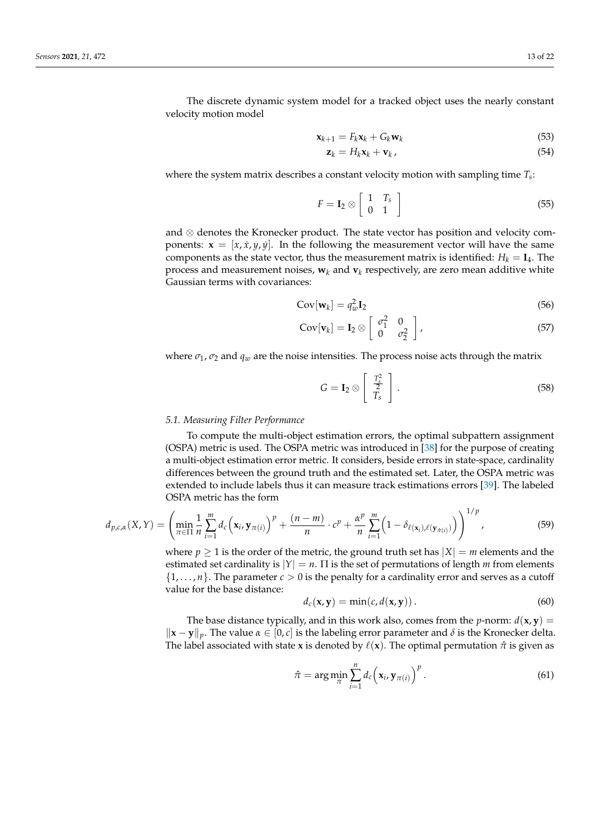The discrete dynamic system model for a tracked object uses the nearly constant velocity motion model

$$
\mathbf{x}_{k+1} = F_k \mathbf{x}_k + G_k \mathbf{w}_k \tag{53}
$$

<span id="page-12-1"></span>
$$
\mathbf{z}_k = H_k \mathbf{x}_k + \mathbf{v}_k \,, \tag{54}
$$

where the system matrix describes a constant velocity motion with sampling time *T<sup>s</sup>* :

$$
F = \mathbf{I}_2 \otimes \left[ \begin{array}{cc} 1 & T_s \\ 0 & 1 \end{array} \right] \tag{55}
$$

and ⊗ denotes the Kronecker product. The state vector has position and velocity components:  $\mathbf{x} = [x, \dot{x}, y, \dot{y}]$ . In the following the measurement vector will have the same components as the state vector, thus the measurement matrix is identified:  $H_k = I_4$ . The process and measurement noises,  $\mathbf{w}_k$  and  $\mathbf{v}_k$  respectively, are zero mean additive white Gaussian terms with covariances:

$$
Cov[\mathbf{w}_k] = q_w^2 \mathbf{I}_2 \tag{56}
$$

$$
Cov[\mathbf{v}_k] = \mathbf{I}_2 \otimes \left[ \begin{array}{cc} \sigma_1^2 & 0 \\ 0 & \sigma_2^2 \end{array} \right],
$$
 (57)

where  $\sigma_1$ ,  $\sigma_2$  and  $q_w$  are the noise intensities. The process noise acts through the matrix

$$
G = \mathbf{I}_2 \otimes \left[ \begin{array}{c} \frac{T_s^2}{2} \\ T_s \end{array} \right]. \tag{58}
$$

#### *5.1. Measuring Filter Performance*

To compute the multi-object estimation errors, the optimal subpattern assignment (OSPA) metric is used. The OSPA metric was introduced in [\[38\]](#page-21-28) for the purpose of creating a multi-object estimation error metric. It considers, beside errors in state-space, cardinality differences between the ground truth and the estimated set. Later, the OSPA metric was extended to include labels thus it can measure track estimations errors [\[39\]](#page-21-29). The labeled OSPA metric has the form

<span id="page-12-0"></span>
$$
d_{p,c,\alpha}(X,Y) = \left(\min_{\pi \in \Pi} \frac{1}{n} \sum_{i=1}^m d_c \left(\mathbf{x}_i, \mathbf{y}_{\pi(i)}\right)^p + \frac{(n-m)}{n} \cdot c^p + \frac{\alpha^p}{n} \sum_{i=1}^m \left(1 - \delta_{\ell(\mathbf{x}_i),\ell(\mathbf{y}_{\pi(i)})}\right)\right)^{1/p},\tag{59}
$$

where  $p \ge 1$  is the order of the metric, the ground truth set has  $|X| = m$  elements and the estimated set cardinality is  $|Y| = n$ .  $\Pi$  is the set of permutations of length *m* from elements  $\{1, \ldots, n\}$ . The parameter  $c > 0$  is the penalty for a cardinality error and serves as a cutoff value for the base distance:

$$
d_c(\mathbf{x}, \mathbf{y}) = \min(c, d(\mathbf{x}, \mathbf{y})).
$$
\n(60)

The base distance typically, and in this work also, comes from the *p*-norm:  $d(x, y) =$  $\|\mathbf{x} - \mathbf{y}\|_p$ . The value  $\alpha \in [0, c]$  is the labeling error parameter and  $\delta$  is the Kronecker delta. The label associated with state **x** is denoted by  $\ell(\mathbf{x})$ . The optimal permutation  $\hat{\pi}$  is given as

$$
\hat{\pi} = \arg\min_{\pi} \sum_{i=1}^{n} d_c \left( \mathbf{x}_i, \mathbf{y}_{\pi(i)} \right)^p.
$$
 (61)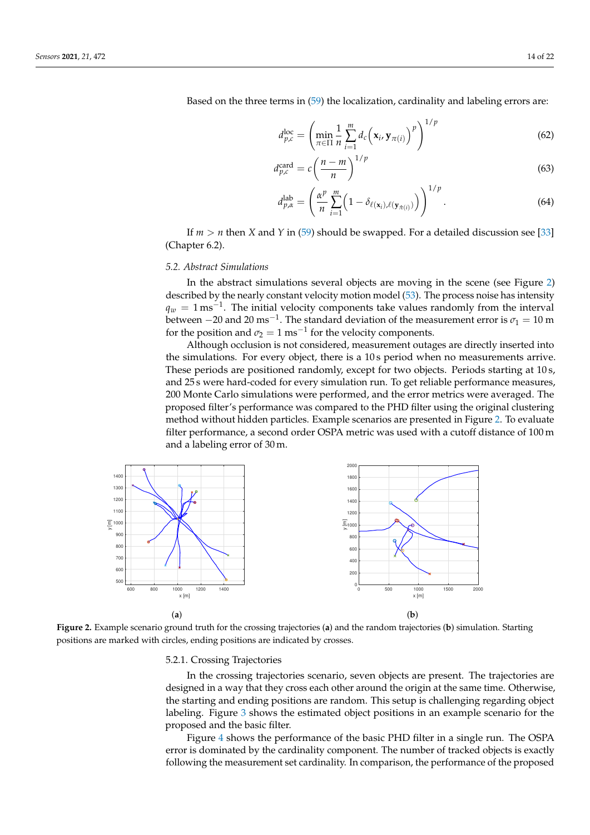Based on the three terms in [\(59\)](#page-12-0) the localization, cardinality and labeling errors are:

$$
d_{p,c}^{\text{loc}} = \left(\min_{\pi \in \Pi} \frac{1}{n} \sum_{i=1}^{m} d_c \left(\mathbf{x}_i, \mathbf{y}_{\pi(i)}\right)^p\right)^{1/p} \tag{62}
$$

$$
d_{p,c}^{\text{card}} = c \left( \frac{n-m}{n} \right)^{1/p} \tag{63}
$$

$$
d_{p,\alpha}^{\text{lab}} = \left(\frac{\alpha^p}{n} \sum_{i=1}^m \left(1 - \delta_{\ell(\mathbf{x}_i),\ell(\mathbf{y}_{\hat{\pi}(i)})}\right)\right)^{1/p}.
$$
 (64)

If  $m > n$  then *X* and *Y* in [\(59\)](#page-12-0) should be swapped. For a detailed discussion see [\[33\]](#page-21-23) (Chapter 6.2).

# *5.2. Abstract Simulations*

In the abstract simulations several objects are moving in the scene (see Figure [2\)](#page-13-0) described by the nearly constant velocity motion model [\(53\)](#page-12-1). The process noise has intensity  $q_w = 1 \,\text{ms}^{-1}$ . The initial velocity components take values randomly from the interval between  $-20$  and 20 ms<sup>-1</sup>. The standard deviation of the measurement error is  $\sigma_1 = 10$  m for the position and  $\sigma_2 = 1 \text{ ms}^{-1}$  for the velocity components.

Although occlusion is not considered, measurement outages are directly inserted into the simulations. For every object, there is a 10 s period when no measurements arrive. These periods are positioned randomly, except for two objects. Periods starting at 10 s, and 25 s were hard-coded for every simulation run. To get reliable performance measures, 200 Monte Carlo simulations were performed, and the error metrics were averaged. The proposed filter's performance was compared to the PHD filter using the original clustering method without hidden particles. Example scenarios are presented in Figure [2.](#page-13-0) To evaluate filter performance, a second order OSPA metric was used with a cutoff distance of 100 m and a labeling error of 30 m.

<span id="page-13-0"></span>

**Figure 2.** Example scenario ground truth for the crossing trajectories (**a**) and the random trajectories (**b**) simulation. Starting positions are marked with circles, ending positions are indicated by crosses.

#### 5.2.1. Crossing Trajectories

In the crossing trajectories scenario, seven objects are present. The trajectories are designed in a way that they cross each other around the origin at the same time. Otherwise, the starting and ending positions are random. This setup is challenging regarding object labeling. Figure [3](#page-14-0) shows the estimated object positions in an example scenario for the proposed and the basic filter.

Figure [4](#page-14-1) shows the performance of the basic PHD filter in a single run. The OSPA error is dominated by the cardinality component. The number of tracked objects is exactly following the measurement set cardinality. In comparison, the performance of the proposed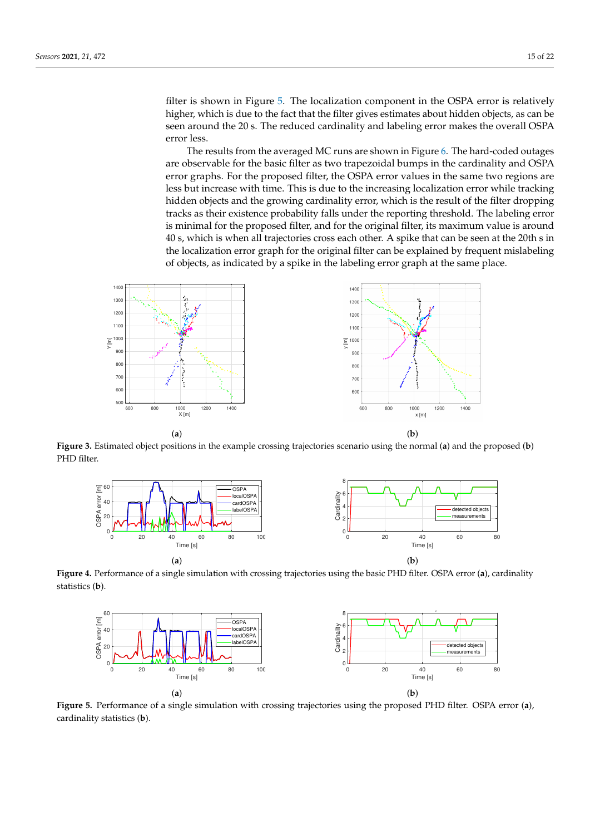filter is shown in Figure [5.](#page-14-2) The localization component in the OSPA error is relatively higher, which is due to the fact that the filter gives estimates about hidden objects, as can be seen around the 20 s. The reduced cardinality and labeling error makes the overall OSPA error less.

The results from the averaged MC runs are shown in Figure [6.](#page-15-0) The hard-coded outages are observable for the basic filter as two trapezoidal bumps in the cardinality and OSPA error graphs. For the proposed filter, the OSPA error values in the same two regions are less but increase with time. This is due to the increasing localization error while tracking hidden objects and the growing cardinality error, which is the result of the filter dropping tracks as their existence probability falls under the reporting threshold. The labeling error is minimal for the proposed filter, and for the original filter, its maximum value is around 40 s, which is when all trajectories cross each other. A spike that can be seen at the 20th s in the localization error graph for the original filter can be explained by frequent mislabeling of objects, as indicated by a spike in the labeling error graph at the same place.

<span id="page-14-0"></span>

<span id="page-14-1"></span>**Figure 3.** Estimated object positions in the example crossing trajectories scenario using the normal (**a**) and the proposed (**b**) PHD filter.



<span id="page-14-2"></span>**Figure 4.** Performance of a single simulation with crossing trajectories using the basic PHD filter. OSPA error (**a**), cardinality statistics (**b**).



**Figure 5.** Performance of a single simulation with crossing trajectories using the proposed PHD filter. OSPA error (**a**), cardinality statistics (**b**).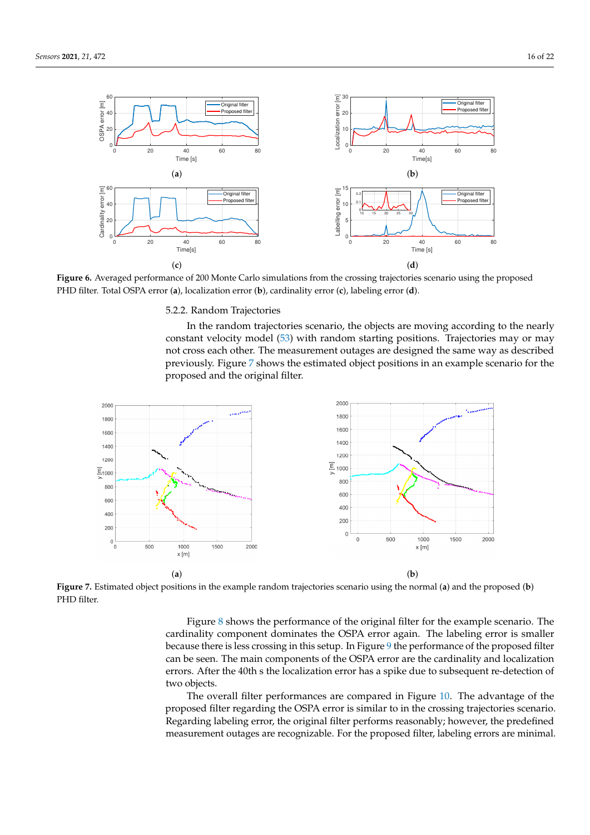<span id="page-15-0"></span>

**Figure 6.** Averaged performance of 200 Monte Carlo simulations from the crossing trajectories scenario using the proposed PHD filter. Total OSPA error (**a**), localization error (**b**), cardinality error (**c**), labeling error (**d**).

### 5.2.2. Random Trajectories

In the random trajectories scenario, the objects are moving according to the nearly constant velocity model [\(53\)](#page-12-1) with random starting positions. Trajectories may or may not cross each other. The measurement outages are designed the same way as described previously. Figure [7](#page-15-1) shows the estimated object positions in an example scenario for the proposed and the original filter.

<span id="page-15-1"></span>

**Figure 7.** Estimated object positions in the example random trajectories scenario using the normal (**a**) and the proposed (**b**) PHD filter.

Figure [8](#page-16-0) shows the performance of the original filter for the example scenario. The cardinality component dominates the OSPA error again. The labeling error is smaller because there is less crossing in this setup. In Figure [9](#page-16-1) the performance of the proposed filter can be seen. The main components of the OSPA error are the cardinality and localization errors. After the 40th s the localization error has a spike due to subsequent re-detection of two objects.

The overall filter performances are compared in Figure [10.](#page-16-2) The advantage of the proposed filter regarding the OSPA error is similar to in the crossing trajectories scenario. Regarding labeling error, the original filter performs reasonably; however, the predefined measurement outages are recognizable. For the proposed filter, labeling errors are minimal.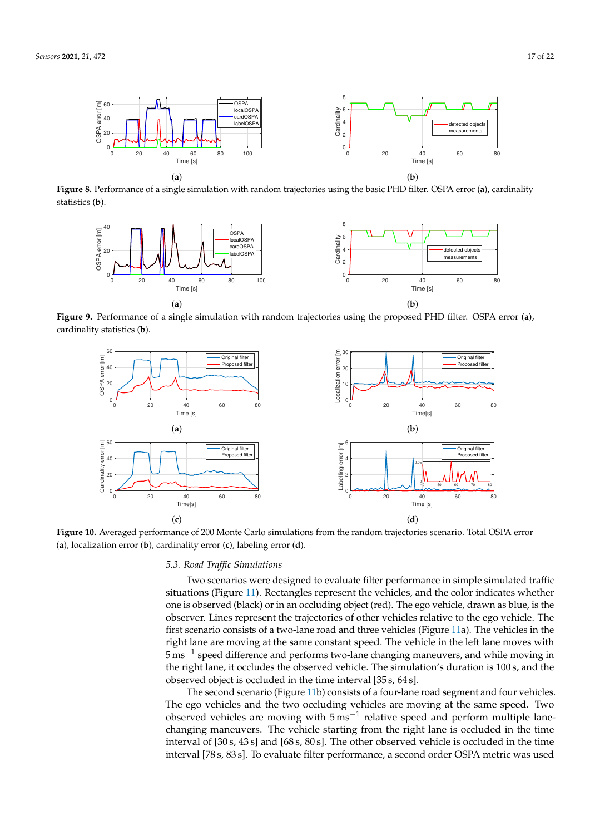<span id="page-16-0"></span>

<span id="page-16-1"></span>**Figure 8.** Performance of a single simulation with random trajectories using the basic PHD filter. OSPA error (**a**), cardinality statistics (**b**).



<span id="page-16-2"></span>**Figure 9.** Performance of a single simulation with random trajectories using the proposed PHD filter. OSPA error (**a**), cardinality statistics (**b**).



**Figure 10.** Averaged performance of 200 Monte Carlo simulations from the random trajectories scenario. Total OSPA error (**a**), localization error (**b**), cardinality error (**c**), labeling error (**d**).

# *5.3. Road Traffic Simulations*

Two scenarios were designed to evaluate filter performance in simple simulated traffic situations (Figure [11\)](#page-17-0). Rectangles represent the vehicles, and the color indicates whether one is observed (black) or in an occluding object (red). The ego vehicle, drawn as blue, is the observer. Lines represent the trajectories of other vehicles relative to the ego vehicle. The first scenario consists of a two-lane road and three vehicles (Figure [11a](#page-17-0)). The vehicles in the right lane are moving at the same constant speed. The vehicle in the left lane moves with 5 ms−<sup>1</sup> speed difference and performs two-lane changing maneuvers, and while moving in the right lane, it occludes the observed vehicle. The simulation's duration is 100 s, and the observed object is occluded in the time interval [35 s, 64 s].

The second scenario (Figure [11b](#page-17-0)) consists of a four-lane road segment and four vehicles. The ego vehicles and the two occluding vehicles are moving at the same speed. Two observed vehicles are moving with 5 ms<sup>-1</sup> relative speed and perform multiple lanechanging maneuvers. The vehicle starting from the right lane is occluded in the time interval of [30 s, 43 s] and [68 s, 80 s]. The other observed vehicle is occluded in the time interval [78 s, 83 s]. To evaluate filter performance, a second order OSPA metric was used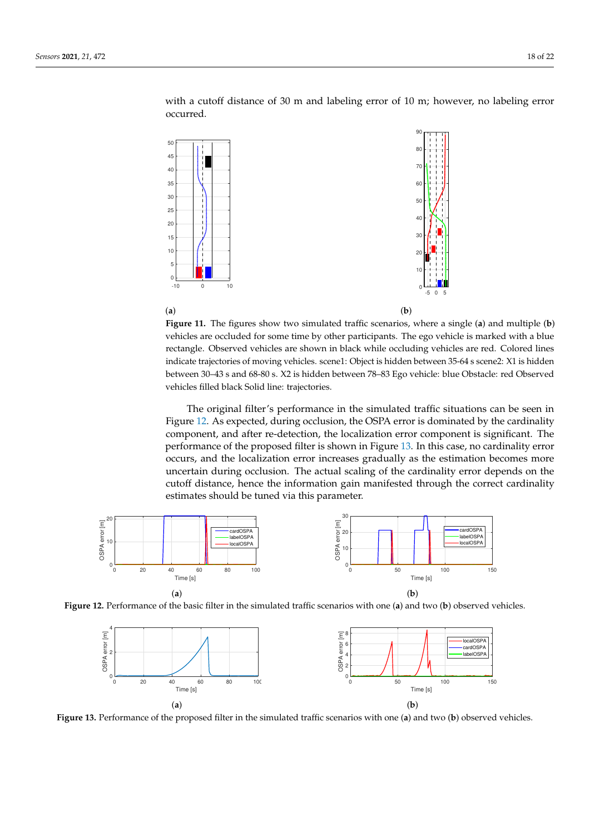with a cutoff distance of 30 m and labeling error of 10 m; however, no labeling error occurred.

<span id="page-17-0"></span>

**Figure 11.** The figures show two simulated traffic scenarios, where a single (**a**) and multiple (**b**) vehicles are occluded for some time by other participants. The ego vehicle is marked with a blue rectangle. Observed vehicles are shown in black while occluding vehicles are red. Colored lines indicate trajectories of moving vehicles. scene1: Object is hidden between 35-64 s scene2: X1 is hidden between 30–43 s and 68-80 s. X2 is hidden between 78–83 Ego vehicle: blue Obstacle: red Observed vehicles filled black Solid line: trajectories.

The original filter's performance in the simulated traffic situations can be seen in Figure [12.](#page-17-1) As expected, during occlusion, the OSPA error is dominated by the cardinality component, and after re-detection, the localization error component is significant. The performance of the proposed filter is shown in Figure [13.](#page-17-2) In this case, no cardinality error occurs, and the localization error increases gradually as the estimation becomes more uncertain during occlusion. The actual scaling of the cardinality error depends on the cutoff distance, hence the information gain manifested through the correct cardinality estimates should be tuned via this parameter.

<span id="page-17-1"></span>

<span id="page-17-2"></span>**Figure 12.** Performance of the basic filter in the simulated traffic scenarios with one (**a**) and two (**b**) observed vehicles.



**Figure 13.** Performance of the proposed filter in the simulated traffic scenarios with one (**a**) and two (**b**) observed vehicles.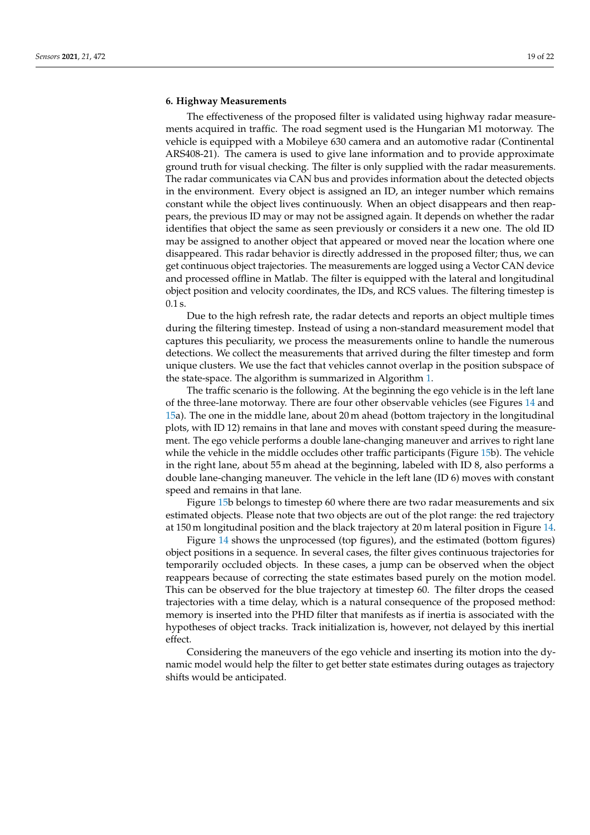# <span id="page-18-0"></span>**6. Highway Measurements**

The effectiveness of the proposed filter is validated using highway radar measurements acquired in traffic. The road segment used is the Hungarian M1 motorway. The vehicle is equipped with a Mobileye 630 camera and an automotive radar (Continental ARS408-21). The camera is used to give lane information and to provide approximate ground truth for visual checking. The filter is only supplied with the radar measurements. The radar communicates via CAN bus and provides information about the detected objects in the environment. Every object is assigned an ID, an integer number which remains constant while the object lives continuously. When an object disappears and then reappears, the previous ID may or may not be assigned again. It depends on whether the radar identifies that object the same as seen previously or considers it a new one. The old ID may be assigned to another object that appeared or moved near the location where one disappeared. This radar behavior is directly addressed in the proposed filter; thus, we can get continuous object trajectories. The measurements are logged using a Vector CAN device and processed offline in Matlab. The filter is equipped with the lateral and longitudinal object position and velocity coordinates, the IDs, and RCS values. The filtering timestep is 0.1 s.

Due to the high refresh rate, the radar detects and reports an object multiple times during the filtering timestep. Instead of using a non-standard measurement model that captures this peculiarity, we process the measurements online to handle the numerous detections. We collect the measurements that arrived during the filter timestep and form unique clusters. We use the fact that vehicles cannot overlap in the position subspace of the state-space. The algorithm is summarized in Algorithm [1.](#page-10-1)

The traffic scenario is the following. At the beginning the ego vehicle is in the left lane of the three-lane motorway. There are four other observable vehicles (see Figures [14](#page-19-1) and [15a](#page-19-2)). The one in the middle lane, about 20 m ahead (bottom trajectory in the longitudinal plots, with ID 12) remains in that lane and moves with constant speed during the measurement. The ego vehicle performs a double lane-changing maneuver and arrives to right lane while the vehicle in the middle occludes other traffic participants (Figure [15b](#page-19-2)). The vehicle in the right lane, about 55 m ahead at the beginning, labeled with ID 8, also performs a double lane-changing maneuver. The vehicle in the left lane (ID 6) moves with constant speed and remains in that lane.

Figure [15b](#page-19-2) belongs to timestep 60 where there are two radar measurements and six estimated objects. Please note that two objects are out of the plot range: the red trajectory at 150 m longitudinal position and the black trajectory at 20 m lateral position in Figure [14.](#page-19-1)

Figure [14](#page-19-1) shows the unprocessed (top figures), and the estimated (bottom figures) object positions in a sequence. In several cases, the filter gives continuous trajectories for temporarily occluded objects. In these cases, a jump can be observed when the object reappears because of correcting the state estimates based purely on the motion model. This can be observed for the blue trajectory at timestep 60. The filter drops the ceased trajectories with a time delay, which is a natural consequence of the proposed method: memory is inserted into the PHD filter that manifests as if inertia is associated with the hypotheses of object tracks. Track initialization is, however, not delayed by this inertial effect.

Considering the maneuvers of the ego vehicle and inserting its motion into the dynamic model would help the filter to get better state estimates during outages as trajectory shifts would be anticipated.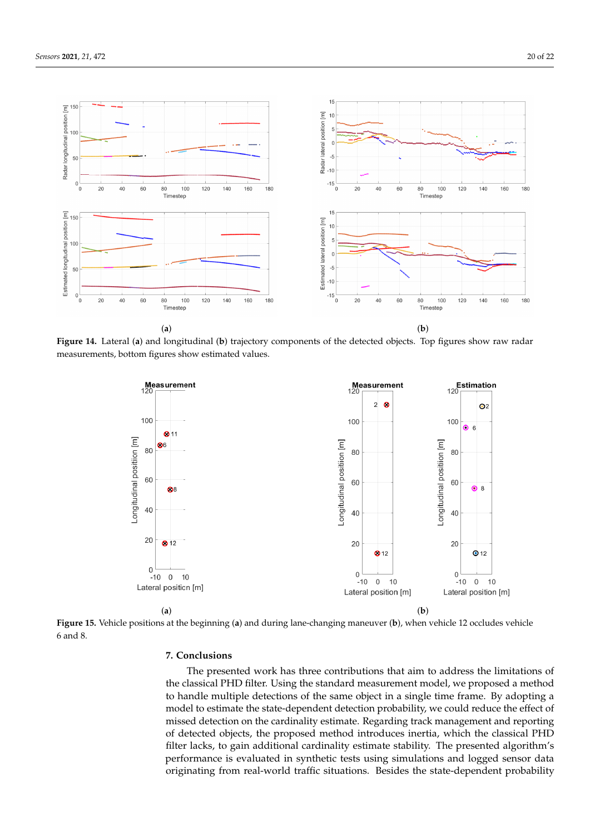<span id="page-19-1"></span>

<span id="page-19-2"></span>**Figure 14.** Lateral (**a**) and longitudinal (**b**) trajectory components of the detected objects. Top figures show raw radar measurements, bottom figures show estimated values.



**Figure 15.** Vehicle positions at the beginning (**a**) and during lane-changing maneuver (**b**), when vehicle 12 occludes vehicle 6 and 8.

# <span id="page-19-0"></span>**7. Conclusions**

The presented work has three contributions that aim to address the limitations of the classical PHD filter. Using the standard measurement model, we proposed a method to handle multiple detections of the same object in a single time frame. By adopting a model to estimate the state-dependent detection probability, we could reduce the effect of missed detection on the cardinality estimate. Regarding track management and reporting of detected objects, the proposed method introduces inertia, which the classical PHD filter lacks, to gain additional cardinality estimate stability. The presented algorithm's performance is evaluated in synthetic tests using simulations and logged sensor data originating from real-world traffic situations. Besides the state-dependent probability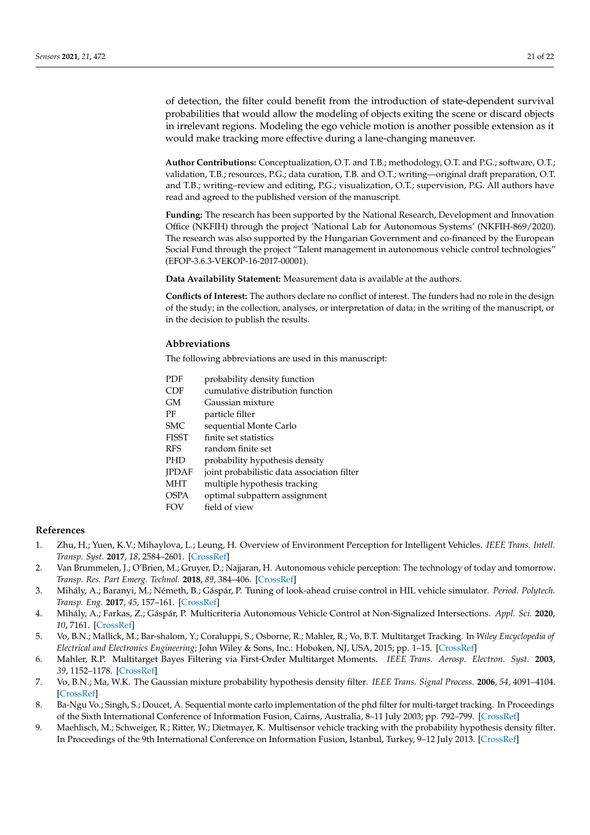of detection, the filter could benefit from the introduction of state-dependent survival probabilities that would allow the modeling of objects exiting the scene or discard objects in irrelevant regions. Modeling the ego vehicle motion is another possible extension as it would make tracking more effective during a lane-changing maneuver.

**Author Contributions:** Conceptualization, O.T. and T.B.; methodology, O.T. and P.G.; software, O.T.; validation, T.B.; resources, P.G.; data curation, T.B. and O.T.; writing—original draft preparation, O.T. and T.B.; writing–review and editing, P.G.; visualization, O.T.; supervision, P.G. All authors have read and agreed to the published version of the manuscript.

**Funding:** The research has been supported by the National Research, Development and Innovation Office (NKFIH) through the project 'National Lab for Autonomous Systems' (NKFIH-869/2020). The research was also supported by the Hungarian Government and co-financed by the European Social Fund through the project "Talent management in autonomous vehicle control technologies" (EFOP-3.6.3-VEKOP-16-2017-00001).

**Data Availability Statement:** Measurement data is available at the authors.

**Conflicts of Interest:** The authors declare no conflict of interest. The funders had no role in the design of the study; in the collection, analyses, or interpretation of data; in the writing of the manuscript, or in the decision to publish the results.

# **Abbreviations**

The following abbreviations are used in this manuscript:

| PDF          | probability density function                |
|--------------|---------------------------------------------|
| <b>CDF</b>   | cumulative distribution function            |
| GМ           | Gaussian mixture                            |
| РF           | particle filter                             |
| SMC.         | sequential Monte Carlo                      |
| <b>FISST</b> | finite set statistics                       |
| <b>RFS</b>   | random finite set                           |
| <b>PHD</b>   | probability hypothesis density              |
| <b>IPDAF</b> | joint probabilistic data association filter |
| <b>MHT</b>   | multiple hypothesis tracking                |
| <b>OSPA</b>  | optimal subpattern assignment               |
| <b>FOV</b>   | field of view                               |

# **References**

- <span id="page-20-0"></span>1. Zhu, H.; Yuen, K.V.; Mihaylova, L.; Leung, H. Overview of Environment Perception for Intelligent Vehicles. *IEEE Trans. Intell. Transp. Syst.* **2017**, *18*, 2584–2601. [\[CrossRef\]](http://doi.org/10.1109/TITS.2017.2658662)
- <span id="page-20-1"></span>2. Van Brummelen, J.; O'Brien, M.; Gruyer, D.; Najjaran, H. Autonomous vehicle perception: The technology of today and tomorrow. *Transp. Res. Part Emerg. Technol.* **2018**, *89*, 384–406. [\[CrossRef\]](http://dx.doi.org/10.1016/j.trc.2018.02.012)
- <span id="page-20-2"></span>3. Mihály, A.; Baranyi, M.; Németh, B.; Gáspár, P. Tuning of look-ahead cruise control in HIL vehicle simulator. *Period. Polytech. Transp. Eng.* **2017**, *45*, 157–161. [\[CrossRef\]](http://dx.doi.org/10.3311/PPtr.9897)
- <span id="page-20-3"></span>4. Mihály, A.; Farkas, Z.; Gáspár, P. Multicriteria Autonomous Vehicle Control at Non-Signalized Intersections. *Appl. Sci.* **2020**, *10*, 7161. [\[CrossRef\]](http://dx.doi.org/10.3390/app10207161)
- <span id="page-20-4"></span>5. Vo, B.N.; Mallick, M.; Bar-shalom, Y.; Coraluppi, S.; Osborne, R.; Mahler, R.; Vo, B.T. Multitarget Tracking. In *Wiley Encyclopedia of Electrical and Electronics Engineering*; John Wiley & Sons, Inc.: Hoboken, NJ, USA, 2015; pp. 1–15. [\[CrossRef\]](http://dx.doi.org/10.1002/047134608X.W8275)
- <span id="page-20-5"></span>6. Mahler, R.P. Multitarget Bayes Filtering via First-Order Multitarget Moments. *IEEE Trans. Aerosp. Electron. Syst.* **2003**, *39*, 1152–1178. [\[CrossRef\]](http://dx.doi.org/10.1109/TAES.2003.1261119)
- <span id="page-20-6"></span>7. Vo, B.N.; Ma, W.K. The Gaussian mixture probability hypothesis density filter. *IEEE Trans. Signal Process.* **2006**, *54*, 4091–4104. [\[CrossRef\]](http://dx.doi.org/10.1109/TSP.2006.881190)
- <span id="page-20-7"></span>8. Ba-Ngu Vo.; Singh, S.; Doucet, A. Sequential monte carlo implementation of the phd filter for multi-target tracking. In Proceedings of the Sixth International Conference of Information Fusion, Cairns, Australia, 8–11 July 2003; pp. 792–799. [\[CrossRef\]](http://dx.doi.org/10.1109/ICIF.2003.177320)
- <span id="page-20-8"></span>9. Maehlisch, M.; Schweiger, R.; Ritter, W.; Dietmayer, K. Multisensor vehicle tracking with the probability hypothesis density filter. In Proceedings of the 9th International Conference on Information Fusion, Istanbul, Turkey, 9–12 July 2013. [\[CrossRef\]](http://dx.doi.org/10.1109/ICIF.2006.301648)